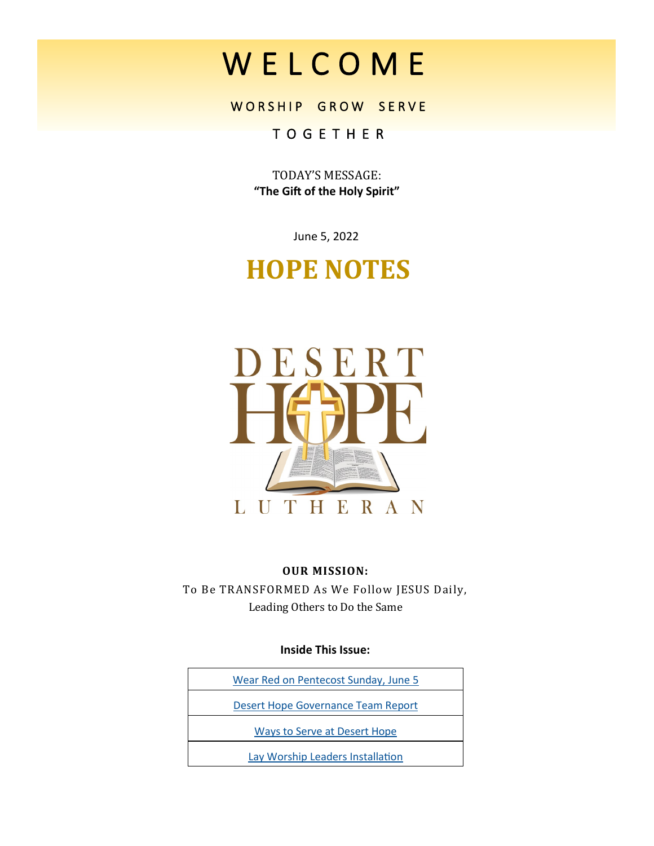# W E L C O M E

WORSHIP GROW SERVE

### T O G E T H E R

TODAY'S MESSAGE: **"The Gift of the Holy Spirit"**

June 5, 2022

## **HOPE NOTES**



#### **OUR MISSION:**

To Be TRANSFORMED As We Follow JESUS Daily, Leading Others to Do the Same

**Inside This Issue:**

| Wear Red on Pentecost Sunday, June 5 |  |
|--------------------------------------|--|
| Desert Hope Governance Team Report   |  |
| Ways to Serve at Desert Hope         |  |
| Lay Worship Leaders Installation     |  |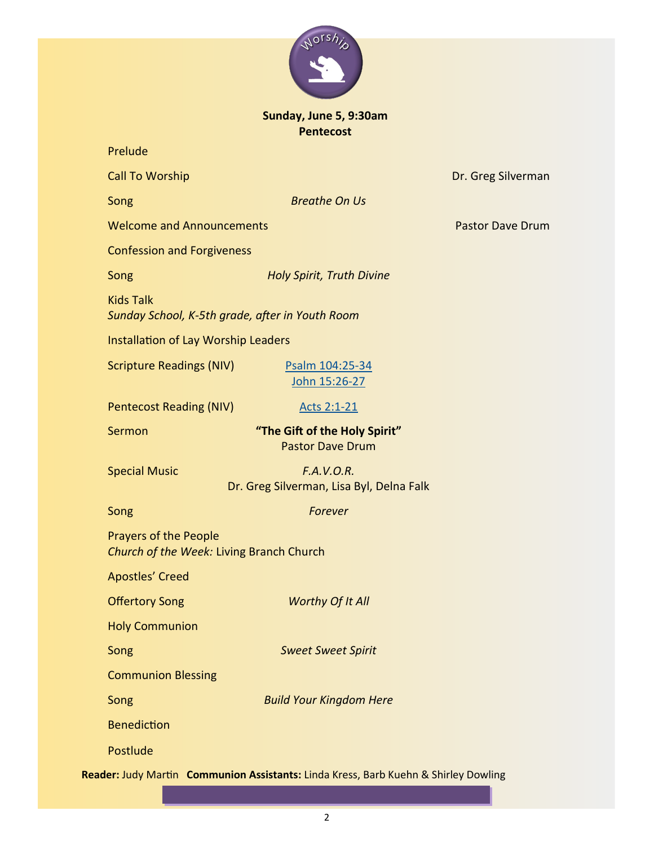

#### **Sunday, June 5, 9:30am Pentecost**

Prelude

| <b>Call To Worship</b>                                                   |                                                                                     | Dr. Greg Si |
|--------------------------------------------------------------------------|-------------------------------------------------------------------------------------|-------------|
| Song                                                                     | <b>Breathe On Us</b>                                                                |             |
| <b>Welcome and Announcements</b>                                         |                                                                                     | Pastor Day  |
| <b>Confession and Forgiveness</b>                                        |                                                                                     |             |
| Song                                                                     | <b>Holy Spirit, Truth Divine</b>                                                    |             |
| <b>Kids Talk</b><br>Sunday School, K-5th grade, after in Youth Room      |                                                                                     |             |
| Installation of Lay Worship Leaders                                      |                                                                                     |             |
| <b>Scripture Readings (NIV)</b>                                          | Psalm 104:25-34<br>John 15:26-27                                                    |             |
| <b>Pentecost Reading (NIV)</b>                                           | Acts 2:1-21                                                                         |             |
| Sermon                                                                   | "The Gift of the Holy Spirit"<br><b>Pastor Dave Drum</b>                            |             |
| <b>Special Music</b>                                                     | F.A.V.O.R.<br>Dr. Greg Silverman, Lisa Byl, Delna Falk                              |             |
| Song                                                                     | Forever                                                                             |             |
| <b>Prayers of the People</b><br>Church of the Week: Living Branch Church |                                                                                     |             |
| <b>Apostles' Creed</b>                                                   |                                                                                     |             |
| <b>Offertory Song</b>                                                    | <b>Worthy Of It All</b>                                                             |             |
| <b>Holy Communion</b>                                                    |                                                                                     |             |
| Song                                                                     | <b>Sweet Sweet Spirit</b>                                                           |             |
| <b>Communion Blessing</b>                                                |                                                                                     |             |
| Song                                                                     | <b>Build Your Kingdom Here</b>                                                      |             |
| <b>Benediction</b>                                                       |                                                                                     |             |
| Postlude                                                                 |                                                                                     |             |
|                                                                          | Reader: Judy Martin Communion Assistants: Linda Kress, Barb Kuehn & Shirley Dowling |             |

eg Silverman

r Dave Drum

2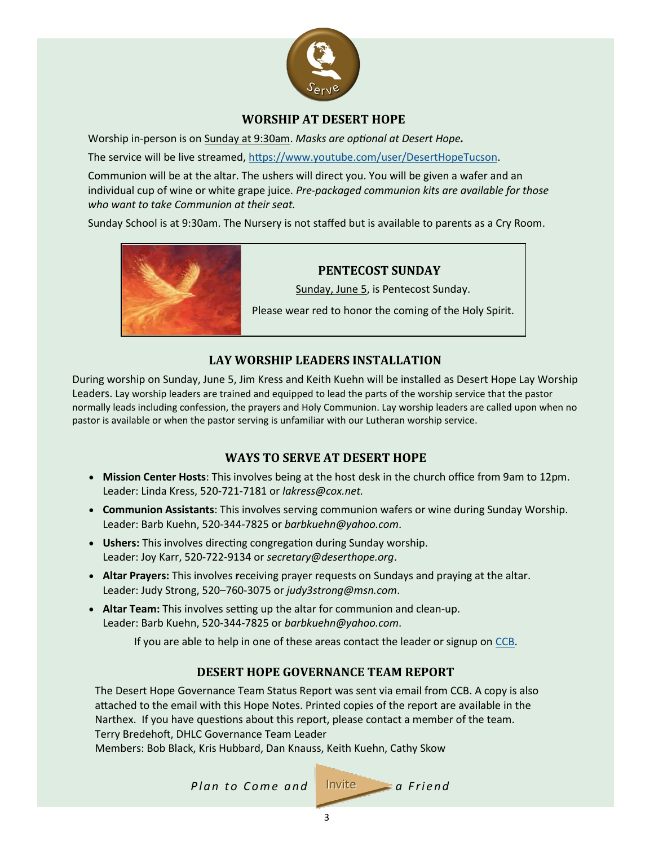

#### **WORSHIP AT DESERT HOPE**

<span id="page-2-0"></span>Worship in-person is on Sunday at 9:30am. *Masks are optional at Desert Hope.*

The service will be live streamed, [https://www.youtube.com/user/DesertHopeTucson.](https://www.youtube.com/user/DesertHopeTucson)

Communion will be at the altar. The ushers will direct you. You will be given a wafer and an individual cup of wine or white grape juice. *Pre-packaged communion kits are available for those who want to take Communion at their seat.*

Sunday School is at 9:30am. The Nursery is not staffed but is available to parents as a Cry Room.



#### **PENTECOST SUNDAY**

Sunday, June 5, is Pentecost Sunday.

Please wear red to honor the coming of the Holy Spirit.

#### **LAY WORSHIP LEADERS INSTALLATION**

During worship on Sunday, June 5, Jim Kress and Keith Kuehn will be installed as Desert Hope Lay Worship Leaders. Lay worship leaders are trained and equipped to lead the parts of the worship service that the pastor normally leads including confession, the prayers and Holy Communion. Lay worship leaders are called upon when no pastor is available or when the pastor serving is unfamiliar with our Lutheran worship service.

#### **WAYS TO SERVE AT DESERT HOPE**

- **Mission Center Hosts**: This involves being at the host desk in the church office from 9am to 12pm. Leader: Linda Kress, 520-721-7181 or *lakress@cox.net.*
- **Communion Assistants**: This involves serving communion wafers or wine during Sunday Worship. Leader: Barb Kuehn, 520-344-7825 or *barbkuehn@yahoo.com*.
- **Ushers:** This involves directing congregation during Sunday worship. Leader: Joy Karr, 520-722-9134 or *secretary@deserthope.org*.
- **Altar Prayers:** This involves **r**eceiving prayer requests on Sundays and praying at the altar. Leader: Judy Strong, 520–760-3075 or *judy3strong@msn.com*.
- **Altar Team:** This involves setting up the altar for communion and clean-up. Leader: Barb Kuehn, 520-344-7825 or *barbkuehn@yahoo.com*.

If you are able to help in one of these areas contact the leader or signup on [CCB.](https://deserthope.ccbchurch.com/goto/login) 

#### **DESERT HOPE GOVERNANCE TEAM REPORT**

The Desert Hope Governance Team Status Report was sent via email from CCB. A copy is also attached to the email with this Hope Notes. Printed copies of the report are available in the Narthex. If you have questions about this report, please contact a member of the team. Terry Bredehoft, DHLC Governance Team Leader

Members: Bob Black, Kris Hubbard, Dan Knauss, Keith Kuehn, Cathy Skow



3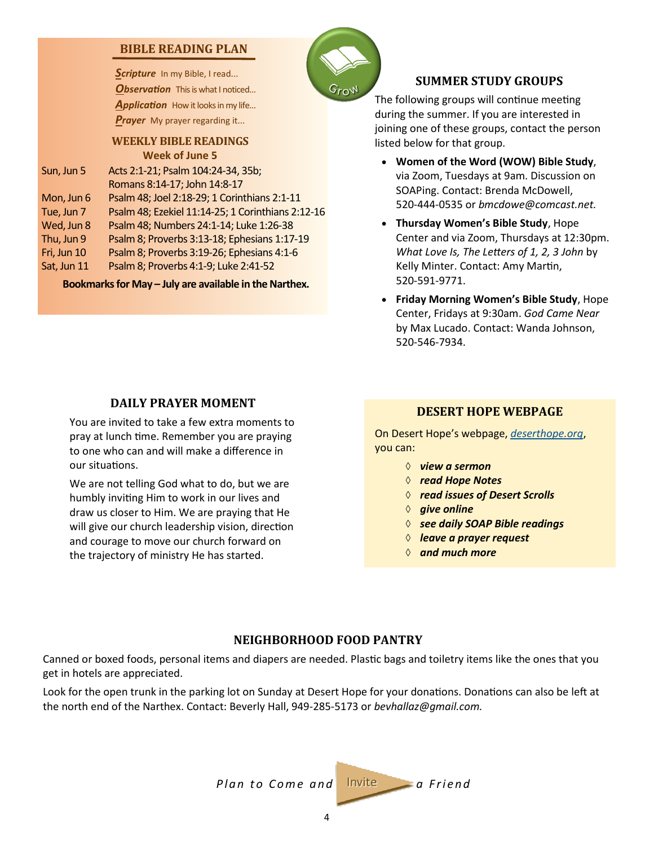#### **BIBLE READING PLAN**

Scripture In my Bible, I read... **Observation** This is what I noticed... Application How it looks in my life... *Prayer* My prayer regarding it...

#### **WEEKLY BIBLE READINGS Week of June 5**

| Sun, Jun 5  | Acts 2:1-21; Psalm 104:24-34, 35b;                |
|-------------|---------------------------------------------------|
|             | Romans 8:14-17; John 14:8-17                      |
| Mon, Jun 6  | Psalm 48; Joel 2:18-29; 1 Corinthians 2:1-11      |
| Tue, Jun 7  | Psalm 48; Ezekiel 11:14-25; 1 Corinthians 2:12-16 |
| Wed, Jun 8  | Psalm 48; Numbers 24:1-14; Luke 1:26-38           |
| Thu, Jun 9  | Psalm 8; Proverbs 3:13-18; Ephesians 1:17-19      |
| Fri, Jun 10 | Psalm 8; Proverbs 3:19-26; Ephesians 4:1-6        |
| Sat, Jun 11 | Psalm 8; Proverbs 4:1-9; Luke 2:41-52             |
|             |                                                   |

**Bookmarks for May – July are available in the Narthex.**

#### **SUMMER STUDY GROUPS**

The following groups will continue meeting during the summer. If you are interested in joining one of these groups, contact the person listed below for that group.

- **Women of the Word (WOW) Bible Study**, via Zoom, Tuesdays at 9am. Discussion on SOAPing. Contact: Brenda McDowell, 520-444-0535 or *bmcdowe@comcast.net.*
- **Thursday Women's Bible Study**, Hope Center and via Zoom, Thursdays at 12:30pm. *What Love Is, The Letters of 1, 2, 3 John* by Kelly Minter. Contact: Amy Martin, 520-591-9771.
- **Friday Morning Women's Bible Study**, Hope Center, Fridays at 9:30am. *God Came Near*  by Max Lucado. Contact: Wanda Johnson, 520-546-7934.

#### **DAILY PRAYER MOMENT**

You are invited to take a few extra moments to pray at lunch time. Remember you are praying to one who can and will make a difference in our situations.

We are not telling God what to do, but we are humbly inviting Him to work in our lives and draw us closer to Him. We are praying that He will give our church leadership vision, direction and courage to move our church forward on the trajectory of ministry He has started.

#### **DESERT HOPE WEBPAGE**

On Desert Hope's webpage, *<deserthope.org>*, you can:

- *view a sermon*
- *read Hope Notes*
- *read issues of Desert Scrolls*
- *give online*
- *see daily SOAP Bible readings*
- *leave a prayer request*
- *and much more*

#### **NEIGHBORHOOD FOOD PANTRY**

Canned or boxed foods, personal items and diapers are needed. Plastic bags and toiletry items like the ones that you get in hotels are appreciated.

Look for the open trunk in the parking lot on Sunday at Desert Hope for your donations. Donations can also be left at the north end of the Narthex. Contact: Beverly Hall, 949-285-5173 or *bevhallaz@gmail.com.*

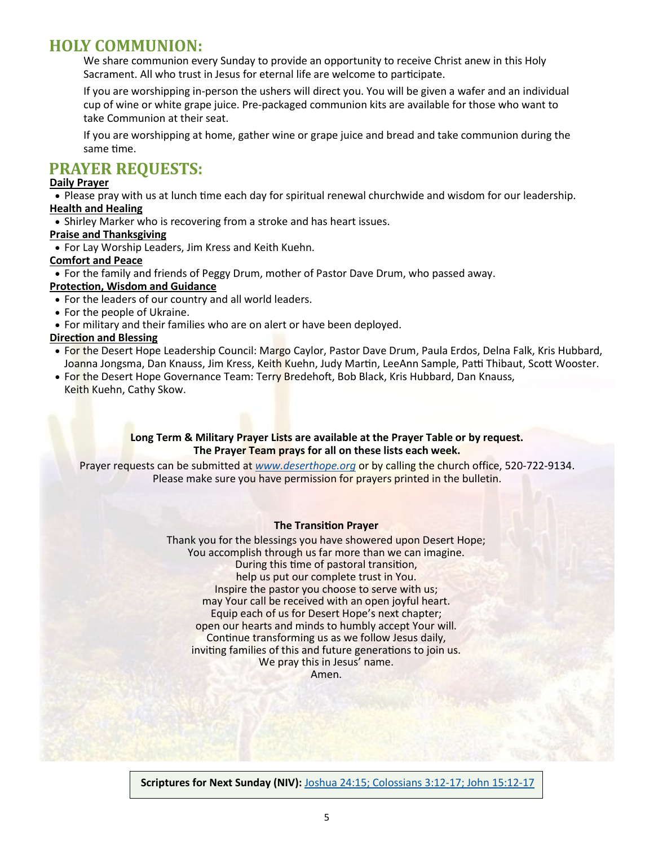#### **HOLY COMMUNION:**

We share communion every Sunday to provide an opportunity to receive Christ anew in this Holy Sacrament. All who trust in Jesus for eternal life are welcome to participate.

If you are worshipping in-person the ushers will direct you. You will be given a wafer and an individual cup of wine or white grape juice. Pre-packaged communion kits are available for those who want to take Communion at their seat.

If you are worshipping at home, gather wine or grape juice and bread and take communion during the same time.

#### **PRAYER REQUESTS:**

#### **Daily Prayer**

• Please pray with us at lunch time each day for spiritual renewal churchwide and wisdom for our leadership. **Health and Healing**

• Shirley Marker who is recovering from a stroke and has heart issues.

#### **Praise and Thanksgiving**

• For Lay Worship Leaders, Jim Kress and Keith Kuehn.

#### **Comfort and Peace**

• For the family and friends of Peggy Drum, mother of Pastor Dave Drum, who passed away.

#### **Protection, Wisdom and Guidance**

- For the leaders of our country and all world leaders.
- For the people of Ukraine.
- For military and their families who are on alert or have been deployed.

#### **Direction and Blessing**

- For the Desert Hope Leadership Council: Margo Caylor, Pastor Dave Drum, Paula Erdos, Delna Falk, Kris Hubbard, Joanna Jongsma, Dan Knauss, Jim Kress, Keith Kuehn, Judy Martin, LeeAnn Sample, Patti Thibaut, Scott Wooster.
- For the Desert Hope Governance Team: Terry Bredehoft, Bob Black, Kris Hubbard, Dan Knauss, Keith Kuehn, Cathy Skow.

#### **Long Term & Military Prayer Lists are available at the Prayer Table or by request. The Prayer Team prays for all on these lists each week.**

Prayer requests can be submitted at *[www.deserthope.org](http://www.deserthope.org)* or by calling the church office, 520-722-9134. Please make sure you have permission for prayers printed in the bulletin.

#### **The Transition Prayer**

Thank you for the blessings you have showered upon Desert Hope; You accomplish through us far more than we can imagine. During this time of pastoral transition, help us put our complete trust in You. Inspire the pastor you choose to serve with us; may Your call be received with an open joyful heart. Equip each of us for Desert Hope's next chapter; open our hearts and minds to humbly accept Your will. Continue transforming us as we follow Jesus daily, inviting families of this and future generations to join us. We pray this in Jesus' name. Amen.

**Scriptures for Next Sunday (NIV):** [Joshua 24:15; Colossians 3:12](https://www.biblegateway.com/passage/?search=Joshua+24%3A15%3B+Colossians+3%3A12-17%3B+John+15%3A12-17&version=NIV)-17; John 15:12-17